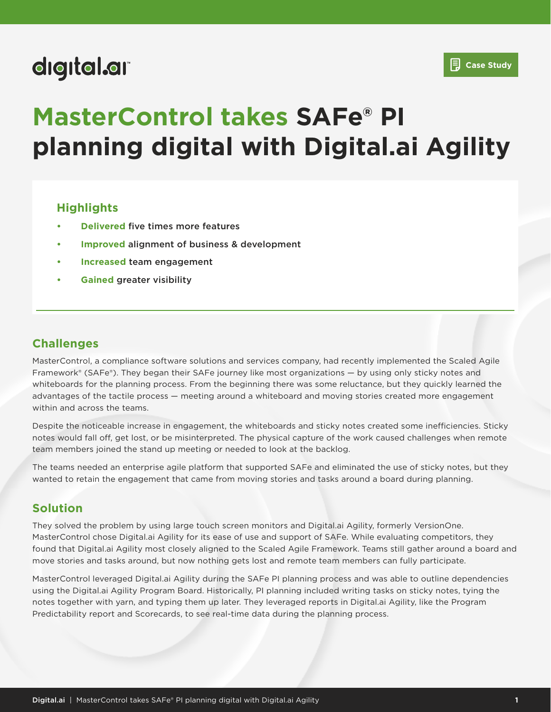# digital.ar

# **MasterControl takes SAFe® PI planning digital with Digital.ai Agility**

### **Highlights**

- **• Delivered** five times more features
- **• Improved** alignment of business & development
- **• Increased** team engagement
- **• Gained** greater visibility

## **Challenges**

MasterControl, a compliance software solutions and services company, had recently implemented the Scaled Agile Framework® (SAFe®). They began their SAFe journey like most organizations — by using only sticky notes and whiteboards for the planning process. From the beginning there was some reluctance, but they quickly learned the advantages of the tactile process — meeting around a whiteboard and moving stories created more engagement within and across the teams.

Despite the noticeable increase in engagement, the whiteboards and sticky notes created some inefficiencies. Sticky notes would fall off, get lost, or be misinterpreted. The physical capture of the work caused challenges when remote team members joined the stand up meeting or needed to look at the backlog.

The teams needed an enterprise agile platform that supported SAFe and eliminated the use of sticky notes, but they wanted to retain the engagement that came from moving stories and tasks around a board during planning.

### **Solution**

They solved the problem by using large touch screen monitors and Digital.ai Agility, formerly VersionOne. MasterControl chose Digital.ai Agility for its ease of use and support of SAFe. While evaluating competitors, they found that Digital.ai Agility most closely aligned to the Scaled Agile Framework. Teams still gather around a board and move stories and tasks around, but now nothing gets lost and remote team members can fully participate.

MasterControl leveraged Digital.ai Agility during the SAFe PI planning process and was able to outline dependencies using the Digital.ai Agility Program Board. Historically, PI planning included writing tasks on sticky notes, tying the notes together with yarn, and typing them up later. They leveraged reports in Digital.ai Agility, like the Program Predictability report and Scorecards, to see real-time data during the planning process.